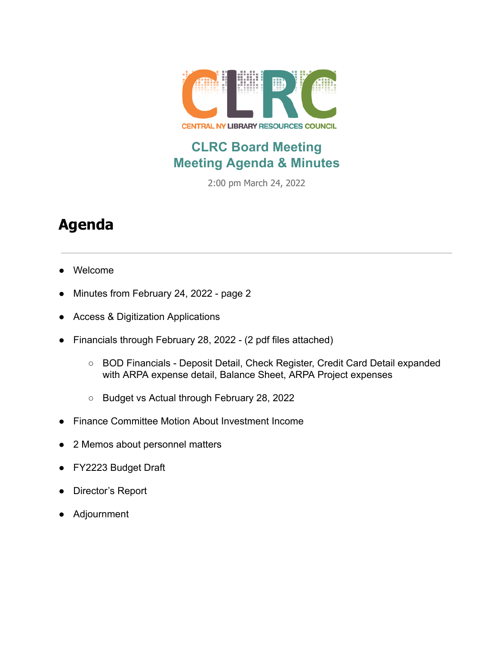

## **CLRC Board Meeting Meeting Agenda & Minutes**

2:00 pm March 24, 2022

## **Agenda**

- Welcome
- Minutes from February 24, 2022 page 2
- Access & Digitization Applications
- Financials through February 28, 2022 (2 pdf files attached)
	- BOD Financials Deposit Detail, Check Register, Credit Card Detail expanded with ARPA expense detail, Balance Sheet, ARPA Project expenses
	- Budget vs Actual through February 28, 2022
- Finance Committee Motion About Investment Income
- 2 Memos about personnel matters
- FY2223 Budget Draft
- Director's Report
- Adjournment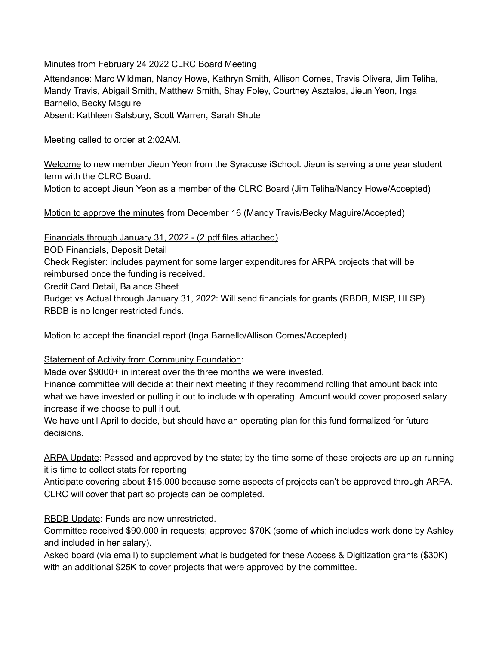## Minutes from February 24 2022 CLRC Board Meeting

Attendance: Marc Wildman, Nancy Howe, Kathryn Smith, Allison Comes, Travis Olivera, Jim Teliha, Mandy Travis, Abigail Smith, Matthew Smith, Shay Foley, Courtney Asztalos, Jieun Yeon, Inga Barnello, Becky Maguire Absent: Kathleen Salsbury, Scott Warren, Sarah Shute

Meeting called to order at 2:02AM.

Welcome to new member Jieun Yeon from the Syracuse iSchool. Jieun is serving a one year student term with the CLRC Board.

Motion to accept Jieun Yeon as a member of the CLRC Board (Jim Teliha/Nancy Howe/Accepted)

Motion to approve the minutes from December 16 (Mandy Travis/Becky Maguire/Accepted)

Financials through January 31, 2022 - (2 pdf files attached)

BOD Financials, Deposit Detail

Check Register: includes payment for some larger expenditures for ARPA projects that will be reimbursed once the funding is received.

Credit Card Detail, Balance Sheet

Budget vs Actual through January 31, 2022: Will send financials for grants (RBDB, MISP, HLSP) RBDB is no longer restricted funds.

Motion to accept the financial report (Inga Barnello/Allison Comes/Accepted)

## **Statement of Activity from Community Foundation:**

Made over \$9000+ in interest over the three months we were invested.

Finance committee will decide at their next meeting if they recommend rolling that amount back into what we have invested or pulling it out to include with operating. Amount would cover proposed salary increase if we choose to pull it out.

We have until April to decide, but should have an operating plan for this fund formalized for future decisions.

ARPA Update: Passed and approved by the state; by the time some of these projects are up an running it is time to collect stats for reporting

Anticipate covering about \$15,000 because some aspects of projects can't be approved through ARPA. CLRC will cover that part so projects can be completed.

RBDB Update: Funds are now unrestricted.

Committee received \$90,000 in requests; approved \$70K (some of which includes work done by Ashley and included in her salary).

Asked board (via email) to supplement what is budgeted for these Access & Digitization grants (\$30K) with an additional \$25K to cover projects that were approved by the committee.